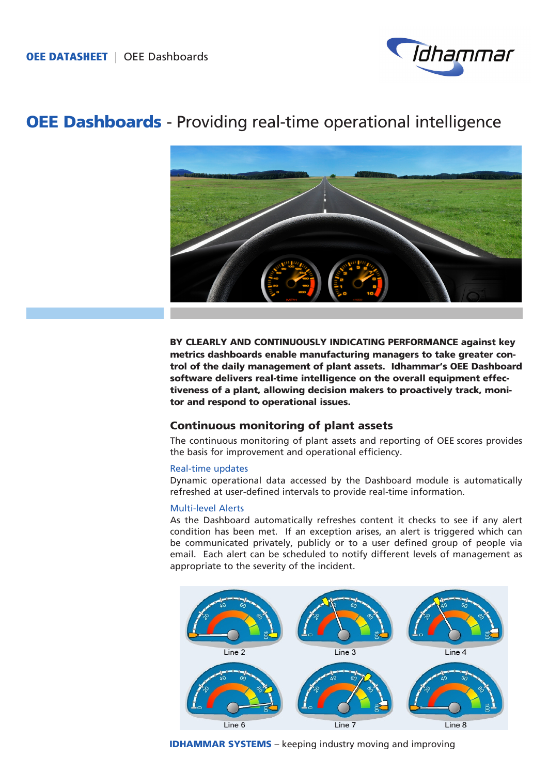

# OEE Dashboards - Providing real-time operational intelligence



BY CLEARLY AND CONTINUOUSLY INDICATING PERFORMANCE against key metrics dashboards enable manufacturing managers to take greater control of the daily management of plant assets. Idhammar's OEE Dashboard software delivers real-time intelligence on the overall equipment effectiveness of a plant, allowing decision makers to proactively track, monitor and respond to operational issues.

# Continuous monitoring of plant assets

The continuous monitoring of plant assets and reporting of OEE scores provides the basis for improvement and operational efficiency.

## Real-time updates

Dynamic operational data accessed by the Dashboard module is automatically refreshed at user-defined intervals to provide real-time information.

## Multi-level Alerts

As the Dashboard automatically refreshes content it checks to see if any alert condition has been met. If an exception arises, an alert is triggered which can be communicated privately, publicly or to a user defined group of people via email. Each alert can be scheduled to notify different levels of management as appropriate to the severity of the incident.



**IDHAMMAR SYSTEMS** – keeping industry moving and improving